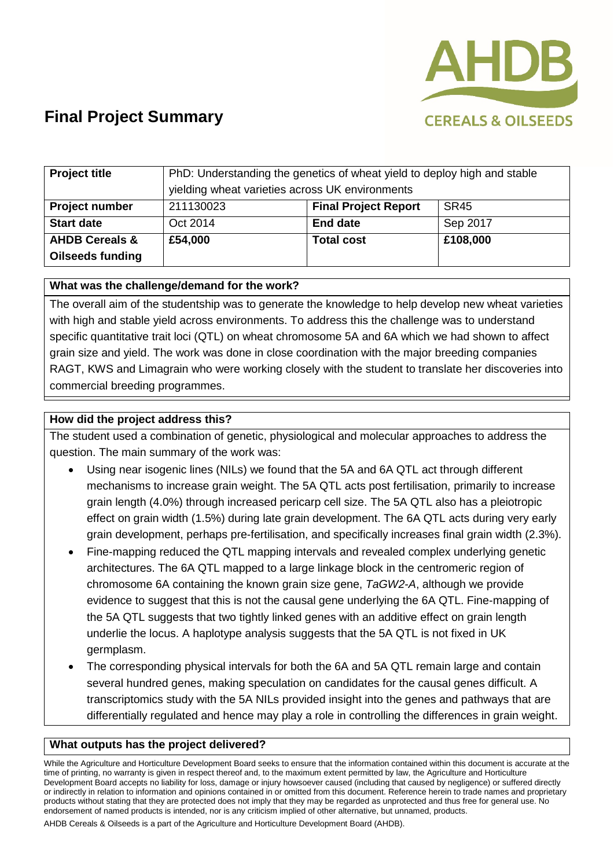

| <b>Project title</b>      | PhD: Understanding the genetics of wheat yield to deploy high and stable<br>yielding wheat varieties across UK environments |                             |             |
|---------------------------|-----------------------------------------------------------------------------------------------------------------------------|-----------------------------|-------------|
| <b>Project number</b>     | 211130023                                                                                                                   | <b>Final Project Report</b> | <b>SR45</b> |
| <b>Start date</b>         | Oct 2014                                                                                                                    | <b>End date</b>             | Sep 2017    |
| <b>AHDB Cereals &amp;</b> | £54,000                                                                                                                     | <b>Total cost</b>           | £108,000    |
| <b>Oilseeds funding</b>   |                                                                                                                             |                             |             |

#### **What was the challenge/demand for the work?**

The overall aim of the studentship was to generate the knowledge to help develop new wheat varieties with high and stable yield across environments. To address this the challenge was to understand specific quantitative trait loci (QTL) on wheat chromosome 5A and 6A which we had shown to affect grain size and yield. The work was done in close coordination with the major breeding companies RAGT, KWS and Limagrain who were working closely with the student to translate her discoveries into commercial breeding programmes.

#### **How did the project address this?**

The student used a combination of genetic, physiological and molecular approaches to address the question. The main summary of the work was:

- Using near isogenic lines (NILs) we found that the 5A and 6A QTL act through different mechanisms to increase grain weight. The 5A QTL acts post fertilisation, primarily to increase grain length (4.0%) through increased pericarp cell size. The 5A QTL also has a pleiotropic effect on grain width (1.5%) during late grain development. The 6A QTL acts during very early grain development, perhaps pre-fertilisation, and specifically increases final grain width (2.3%).
- Fine-mapping reduced the QTL mapping intervals and revealed complex underlying genetic architectures. The 6A QTL mapped to a large linkage block in the centromeric region of chromosome 6A containing the known grain size gene, *TaGW2-A*, although we provide evidence to suggest that this is not the causal gene underlying the 6A QTL. Fine-mapping of the 5A QTL suggests that two tightly linked genes with an additive effect on grain length underlie the locus. A haplotype analysis suggests that the 5A QTL is not fixed in UK germplasm.
- The corresponding physical intervals for both the 6A and 5A QTL remain large and contain several hundred genes, making speculation on candidates for the causal genes difficult. A transcriptomics study with the 5A NILs provided insight into the genes and pathways that are differentially regulated and hence may play a role in controlling the differences in grain weight.

#### **What outputs has the project delivered?**

While the Agriculture and Horticulture Development Board seeks to ensure that the information contained within this document is accurate at the time of printing, no warranty is given in respect thereof and, to the maximum extent permitted by law, the Agriculture and Horticulture Development Board accepts no liability for loss, damage or injury howsoever caused (including that caused by negligence) or suffered directly or indirectly in relation to information and opinions contained in or omitted from this document. Reference herein to trade names and proprietary products without stating that they are protected does not imply that they may be regarded as unprotected and thus free for general use. No endorsement of named products is intended, nor is any criticism implied of other alternative, but unnamed, products.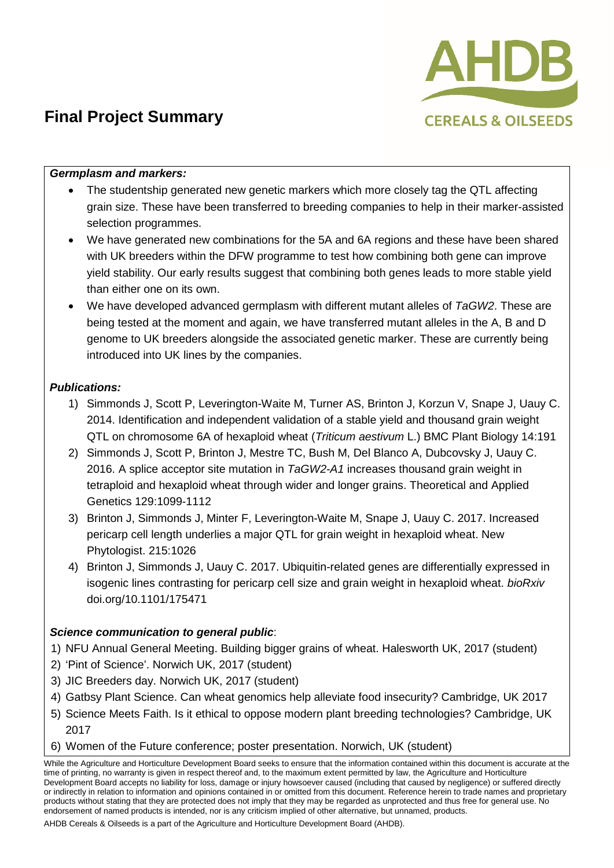

#### *Germplasm and markers:*

- The studentship generated new genetic markers which more closely tag the QTL affecting grain size. These have been transferred to breeding companies to help in their marker-assisted selection programmes.
- We have generated new combinations for the 5A and 6A regions and these have been shared with UK breeders within the DFW programme to test how combining both gene can improve yield stability. Our early results suggest that combining both genes leads to more stable yield than either one on its own.
- We have developed advanced germplasm with different mutant alleles of *TaGW2*. These are being tested at the moment and again, we have transferred mutant alleles in the A, B and D genome to UK breeders alongside the associated genetic marker. These are currently being introduced into UK lines by the companies.

### *Publications:*

- 1) Simmonds J, Scott P, Leverington-Waite M, Turner AS, Brinton J, Korzun V, Snape J, Uauy C. 2014. Identification and independent validation of a stable yield and thousand grain weight QTL on chromosome 6A of hexaploid wheat (*Triticum aestivum* L.) BMC Plant Biology 14:191
- 2) Simmonds J, Scott P, Brinton J, Mestre TC, Bush M, Del Blanco A, Dubcovsky J, Uauy C. 2016. A splice acceptor site mutation in *TaGW2-A1* increases thousand grain weight in tetraploid and hexaploid wheat through wider and longer grains. Theoretical and Applied Genetics 129:1099-1112
- 3) Brinton J, Simmonds J, Minter F, Leverington-Waite M, Snape J, Uauy C. 2017. Increased pericarp cell length underlies a major QTL for grain weight in hexaploid wheat. New Phytologist. 215:1026
- 4) Brinton J, Simmonds J, Uauy C. 2017. Ubiquitin-related genes are differentially expressed in isogenic lines contrasting for pericarp cell size and grain weight in hexaploid wheat. *bioRxiv* doi.org/10.1101/175471

#### *Science communication to general public*:

- 1) NFU Annual General Meeting. Building bigger grains of wheat. Halesworth UK, 2017 (student)
- 2) 'Pint of Science'. Norwich UK, 2017 (student)
- 3) JIC Breeders day. Norwich UK, 2017 (student)
- 4) Gatbsy Plant Science. Can wheat genomics help alleviate food insecurity? Cambridge, UK 2017
- 5) Science Meets Faith. Is it ethical to oppose modern plant breeding technologies? Cambridge, UK 2017
- 6) Women of the Future conference; poster presentation. Norwich, UK (student)

While the Agriculture and Horticulture Development Board seeks to ensure that the information contained within this document is accurate at the time of printing, no warranty is given in respect thereof and, to the maximum extent permitted by law, the Agriculture and Horticulture Development Board accepts no liability for loss, damage or injury howsoever caused (including that caused by negligence) or suffered directly or indirectly in relation to information and opinions contained in or omitted from this document. Reference herein to trade names and proprietary products without stating that they are protected does not imply that they may be regarded as unprotected and thus free for general use. No endorsement of named products is intended, nor is any criticism implied of other alternative, but unnamed, products.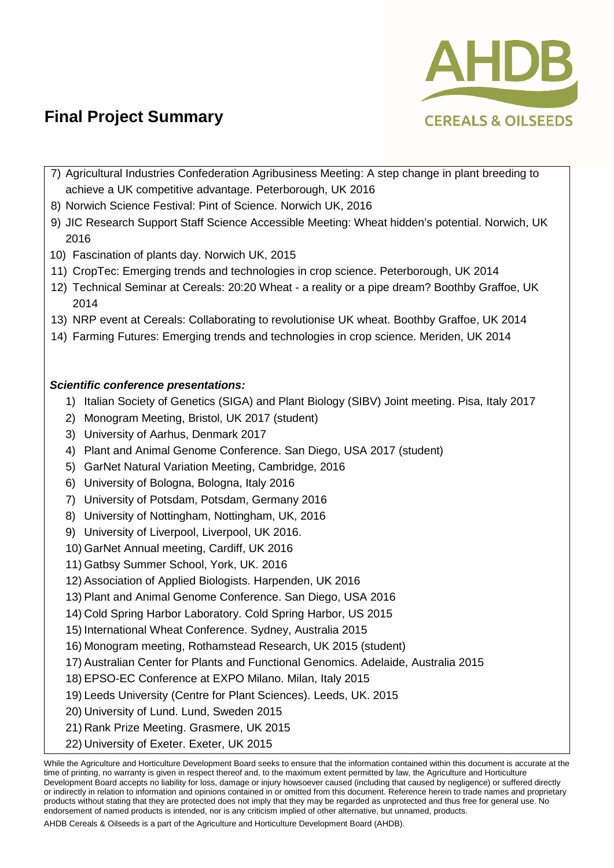

- 7) Agricultural Industries Confederation Agribusiness Meeting: A step change in plant breeding to achieve a UK competitive advantage. Peterborough, UK 2016
- 8) Norwich Science Festival: Pint of Science. Norwich UK, 2016
- 9) JIC Research Support Staff Science Accessible Meeting: Wheat hidden's potential. Norwich, UK 2016
- 10) Fascination of plants day. Norwich UK, 2015
- 11) CropTec: Emerging trends and technologies in crop science. Peterborough, UK 2014
- 12) Technical Seminar at Cereals: 20:20 Wheat a reality or a pipe dream? Boothby Graffoe, UK 2014
- 13) NRP event at Cereals: Collaborating to revolutionise UK wheat. Boothby Graffoe, UK 2014
- 14) Farming Futures: Emerging trends and technologies in crop science. Meriden, UK 2014

### *Scientific conference presentations:*

- 1) Italian Society of Genetics (SIGA) and Plant Biology (SIBV) Joint meeting. Pisa, Italy 2017
- 2) Monogram Meeting, Bristol, UK 2017 (student)
- 3) University of Aarhus, Denmark 2017
- 4) Plant and Animal Genome Conference. San Diego, USA 2017 (student)
- 5) GarNet Natural Variation Meeting, Cambridge, 2016
- 6) University of Bologna, Bologna, Italy 2016
- 7) University of Potsdam, Potsdam, Germany 2016
- 8) University of Nottingham, Nottingham, UK, 2016
- 9) University of Liverpool, Liverpool, UK 2016.
- 10) GarNet Annual meeting, Cardiff, UK 2016
- 11) Gatbsy Summer School, York, UK. 2016
- 12) Association of Applied Biologists. Harpenden, UK 2016
- 13) Plant and Animal Genome Conference. San Diego, USA 2016
- 14) Cold Spring Harbor Laboratory. Cold Spring Harbor, US 2015
- 15) International Wheat Conference. Sydney, Australia 2015
- 16) Monogram meeting, Rothamstead Research, UK 2015 (student)
- 17) Australian Center for Plants and Functional Genomics. Adelaide, Australia 2015
- 18) EPSO-EC Conference at EXPO Milano. Milan, Italy 2015
- 19) Leeds University (Centre for Plant Sciences). Leeds, UK. 2015
- 20) University of Lund. Lund, Sweden 2015
- 21) Rank Prize Meeting. Grasmere, UK 2015
- 22) University of Exeter. Exeter, UK 2015

While the Agriculture and Horticulture Development Board seeks to ensure that the information contained within this document is accurate at the time of printing, no warranty is given in respect thereof and, to the maximum extent permitted by law, the Agriculture and Horticulture Development Board accepts no liability for loss, damage or injury howsoever caused (including that caused by negligence) or suffered directly or indirectly in relation to information and opinions contained in or omitted from this document. Reference herein to trade names and proprietary products without stating that they are protected does not imply that they may be regarded as unprotected and thus free for general use. No endorsement of named products is intended, nor is any criticism implied of other alternative, but unnamed, products.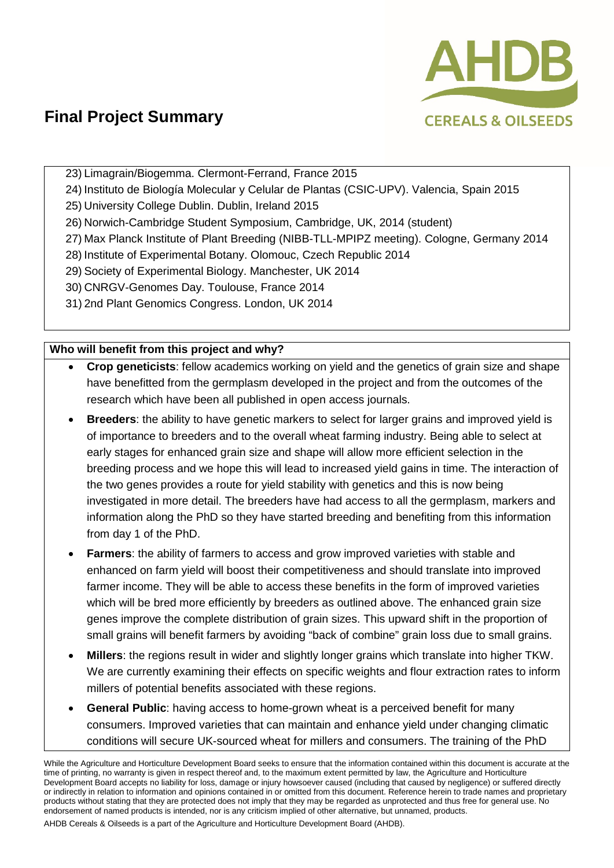

23) Limagrain/Biogemma. Clermont-Ferrand, France 2015

- 24) Instituto de Biología Molecular y Celular de Plantas (CSIC-UPV). Valencia, Spain 2015
- 25) University College Dublin. Dublin, Ireland 2015
- 26) Norwich-Cambridge Student Symposium, Cambridge, UK, 2014 (student)
- 27) Max Planck Institute of Plant Breeding (NIBB-TLL-MPIPZ meeting). Cologne, Germany 2014
- 28) Institute of Experimental Botany. Olomouc, Czech Republic 2014
- 29) Society of Experimental Biology. Manchester, UK 2014
- 30) CNRGV-Genomes Day. Toulouse, France 2014
- 31) 2nd Plant Genomics Congress. London, UK 2014

### **Who will benefit from this project and why?**

- **Crop geneticists**: fellow academics working on yield and the genetics of grain size and shape have benefitted from the germplasm developed in the project and from the outcomes of the research which have been all published in open access journals.
- **Breeders**: the ability to have genetic markers to select for larger grains and improved yield is of importance to breeders and to the overall wheat farming industry. Being able to select at early stages for enhanced grain size and shape will allow more efficient selection in the breeding process and we hope this will lead to increased yield gains in time. The interaction of the two genes provides a route for yield stability with genetics and this is now being investigated in more detail. The breeders have had access to all the germplasm, markers and information along the PhD so they have started breeding and benefiting from this information from day 1 of the PhD.
- **Farmers:** the ability of farmers to access and grow improved varieties with stable and enhanced on farm yield will boost their competitiveness and should translate into improved farmer income. They will be able to access these benefits in the form of improved varieties which will be bred more efficiently by breeders as outlined above. The enhanced grain size genes improve the complete distribution of grain sizes. This upward shift in the proportion of small grains will benefit farmers by avoiding "back of combine" grain loss due to small grains.
- **Millers**: the regions result in wider and slightly longer grains which translate into higher TKW. We are currently examining their effects on specific weights and flour extraction rates to inform millers of potential benefits associated with these regions.
- **General Public**: having access to home-grown wheat is a perceived benefit for many consumers. Improved varieties that can maintain and enhance yield under changing climatic conditions will secure UK-sourced wheat for millers and consumers. The training of the PhD

While the Agriculture and Horticulture Development Board seeks to ensure that the information contained within this document is accurate at the time of printing, no warranty is given in respect thereof and, to the maximum extent permitted by law, the Agriculture and Horticulture Development Board accepts no liability for loss, damage or injury howsoever caused (including that caused by negligence) or suffered directly or indirectly in relation to information and opinions contained in or omitted from this document. Reference herein to trade names and proprietary products without stating that they are protected does not imply that they may be regarded as unprotected and thus free for general use. No endorsement of named products is intended, nor is any criticism implied of other alternative, but unnamed, products.